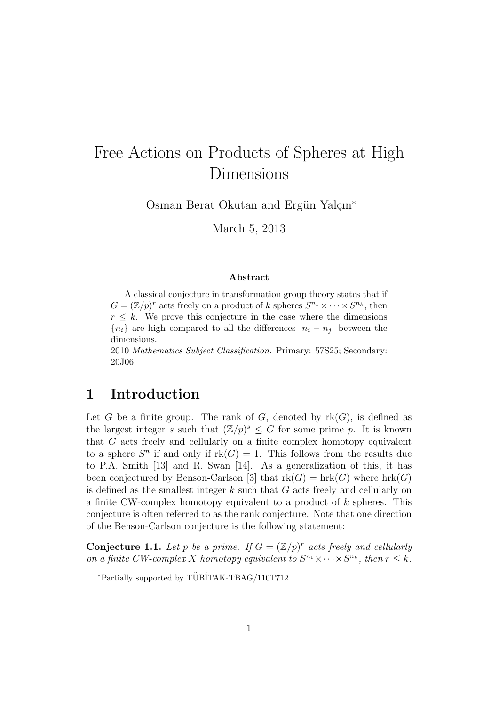# Free Actions on Products of Spheres at High Dimensions

Osman Berat Okutan and Ergün Yalçın<sup>∗</sup>

March 5, 2013

#### Abstract

A classical conjecture in transformation group theory states that if  $G = (\mathbb{Z}/p)^r$  acts freely on a product of k spheres  $S^{n_1} \times \cdots \times S^{n_k}$ , then  $r \leq k$ . We prove this conjecture in the case where the dimensions  ${n_i}$  are high compared to all the differences  $|n_i - n_j|$  between the dimensions.

2010 Mathematics Subject Classification. Primary: 57S25; Secondary: 20J06.

# 1 Introduction

Let G be a finite group. The rank of G, denoted by  $rk(G)$ , is defined as the largest integer s such that  $(\mathbb{Z}/p)^s \leq G$  for some prime p. It is known that G acts freely and cellularly on a finite complex homotopy equivalent to a sphere  $S<sup>n</sup>$  if and only if  $rk(G) = 1$ . This follows from the results due to P.A. Smith [13] and R. Swan [14]. As a generalization of this, it has been conjectured by Benson-Carlson [3] that  $rk(G) = hr(G)$  where  $hrk(G)$ is defined as the smallest integer  $k$  such that  $G$  acts freely and cellularly on a finite CW-complex homotopy equivalent to a product of  $k$  spheres. This conjecture is often referred to as the rank conjecture. Note that one direction of the Benson-Carlson conjecture is the following statement:

**Conjecture 1.1.** Let p be a prime. If  $G = (\mathbb{Z}/p)^r$  acts freely and cellularly on a finite CW-complex X homotopy equivalent to  $S^{n_1} \times \cdots \times S^{n_k}$ , then  $r \leq k$ .

 $*$ Partially supported by TÜBİTAK-TBAG/110T712.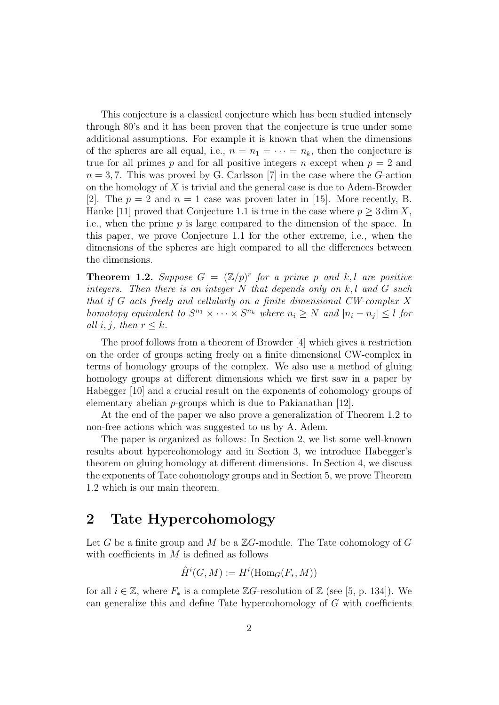This conjecture is a classical conjecture which has been studied intensely through 80's and it has been proven that the conjecture is true under some additional assumptions. For example it is known that when the dimensions of the spheres are all equal, i.e.,  $n = n_1 = \cdots = n_k$ , then the conjecture is true for all primes p and for all positive integers n except when  $p = 2$  and  $n = 3, 7$ . This was proved by G. Carlsson [7] in the case where the G-action on the homology of  $X$  is trivial and the general case is due to Adem-Browder [2]. The  $p = 2$  and  $n = 1$  case was proven later in [15]. More recently, B. Hanke [11] proved that Conjecture 1.1 is true in the case where  $p \geq 3 \dim X$ , i.e., when the prime  $p$  is large compared to the dimension of the space. In this paper, we prove Conjecture 1.1 for the other extreme, i.e., when the dimensions of the spheres are high compared to all the differences between the dimensions.

**Theorem 1.2.** Suppose  $G = (\mathbb{Z}/p)^r$  for a prime p and k, l are positive integers. Then there is an integer  $N$  that depends only on  $k, l$  and  $G$  such that if G acts freely and cellularly on a finite dimensional CW-complex X homotopy equivalent to  $S^{n_1} \times \cdots \times S^{n_k}$  where  $n_i \geq N$  and  $|n_i - n_j| \leq l$  for all i, j, then  $r \leq k$ .

The proof follows from a theorem of Browder [4] which gives a restriction on the order of groups acting freely on a finite dimensional CW-complex in terms of homology groups of the complex. We also use a method of gluing homology groups at different dimensions which we first saw in a paper by Habegger [10] and a crucial result on the exponents of cohomology groups of elementary abelian  $p$ -groups which is due to Pakianathan [12].

At the end of the paper we also prove a generalization of Theorem 1.2 to non-free actions which was suggested to us by A. Adem.

The paper is organized as follows: In Section 2, we list some well-known results about hypercohomology and in Section 3, we introduce Habegger's theorem on gluing homology at different dimensions. In Section 4, we discuss the exponents of Tate cohomology groups and in Section 5, we prove Theorem 1.2 which is our main theorem.

# 2 Tate Hypercohomology

Let G be a finite group and M be a  $\mathbb{Z}G$ -module. The Tate cohomology of G with coefficients in  $M$  is defined as follows

$$
\hat{H}^i(G, M) := H^i(\operatorname{Hom}_G(F_*, M))
$$

for all  $i \in \mathbb{Z}$ , where  $F_*$  is a complete  $\mathbb{Z}G$ -resolution of  $\mathbb{Z}$  (see [5, p. 134]). We can generalize this and define Tate hypercohomology of  $G$  with coefficients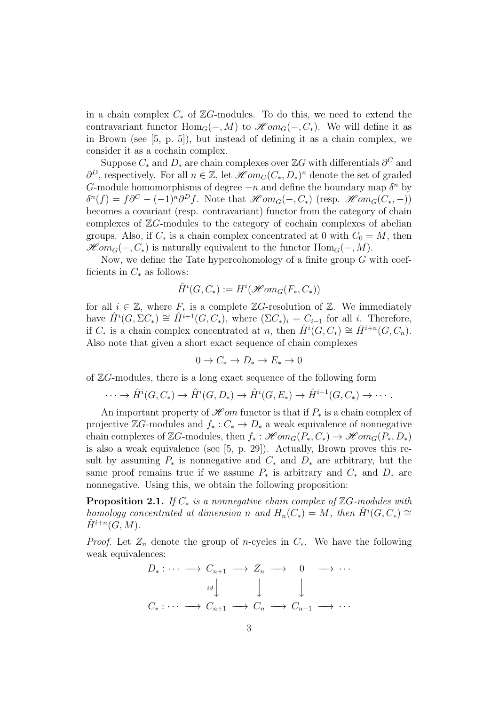in a chain complex  $C_*$  of  $\mathbb{Z}G$ -modules. To do this, we need to extend the contravariant functor  $\text{Hom}_G(-, M)$  to  $\mathcal{H}om_G(-, C_*)$ . We will define it as in Brown (see [5, p. 5]), but instead of defining it as a chain complex, we consider it as a cochain complex.

Suppose  $C_*$  and  $D_*$  are chain complexes over  $\mathbb{Z}G$  with differentials  $\partial^C$  and  $\partial^D$ , respectively. For all  $n \in \mathbb{Z}$ , let  $\mathscr{H}om_G(C_*, D_*)^n$  denote the set of graded G-module homomorphisms of degree  $-n$  and define the boundary map  $\delta^n$  by  $\delta^n(f) = f\partial^C - (-1)^n \partial^D f$ . Note that  $\mathcal{H}om_G(-, C_*)$  (resp.  $\mathcal{H}om_G(C_*)$ ) becomes a covariant (resp. contravariant) functor from the category of chain complexes of  $\mathbb{Z}G$ -modules to the category of cochain complexes of abelian groups. Also, if  $C_*$  is a chain complex concentrated at 0 with  $C_0 = M$ , then  $\mathscr{H}om_G(-, C_*)$  is naturally equivalent to the functor  $\text{Hom}_G(-, M)$ .

Now, we define the Tate hypercohomology of a finite group  $G$  with coefficients in  $C_*$  as follows:

$$
\hat{H}^i(G, C_*) := H^i(\mathcal{H}om_G(F_*, C_*))
$$

for all  $i \in \mathbb{Z}$ , where  $F_*$  is a complete  $\mathbb{Z}G$ -resolution of  $\mathbb{Z}$ . We immediately have  $\hat{H}^i(G, \Sigma C_*) \cong \hat{H}^{i+1}(G, C_*)$ , where  $(\Sigma C_*)_i = C_{i-1}$  for all i. Therefore, if  $C_*$  is a chain complex concentrated at n, then  $\hat{H}^i(G, C_*) \cong \hat{H}^{i+n}(G, C_n)$ . Also note that given a short exact sequence of chain complexes

$$
0\to C_*\to D_*\to E_*\to 0
$$

of  $\mathbb{Z}G$ -modules, there is a long exact sequence of the following form

$$
\cdots \to \hat{H}^i(G, C_*) \to \hat{H}^i(G, D_*) \to \hat{H}^i(G, E_*) \to \hat{H}^{i+1}(G, C_*) \to \cdots
$$

An important property of  $\mathscr{H}om$  functor is that if  $P_*$  is a chain complex of projective  $\mathbb{Z}G$ -modules and  $f_*: C_* \to D_*$  a weak equivalence of nonnegative chain complexes of ZG-modules, then  $f_* : \mathscr{H}om_G(P_*, C_*) \to \mathscr{H}om_G(P_*, D_*)$ is also a weak equivalence (see [5, p. 29]). Actually, Brown proves this result by assuming  $P_*$  is nonnegative and  $C_*$  and  $D_*$  are arbitrary, but the same proof remains true if we assume  $P_*$  is arbitrary and  $C_*$  and  $D_*$  are nonnegative. Using this, we obtain the following proposition:

**Proposition 2.1.** If  $C_*$  is a nonnegative chain complex of  $\mathbb{Z}G$ -modules with homology concentrated at dimension n and  $H_n(C_*) = M$ , then  $\hat{H}^i(G, C_*) \cong$  $\hat{H}^{i+n}(\tilde{G},M).$ 

*Proof.* Let  $Z_n$  denote the group of n-cycles in  $C_*$ . We have the following weak equivalences:

$$
D_* : \cdots \longrightarrow C_{n+1} \longrightarrow Z_n \longrightarrow 0 \longrightarrow \cdots
$$
  

$$
\downarrow \qquad \qquad \downarrow \qquad \qquad \downarrow
$$
  

$$
C_* : \cdots \longrightarrow C_{n+1} \longrightarrow C_n \longrightarrow C_{n-1} \longrightarrow \cdots
$$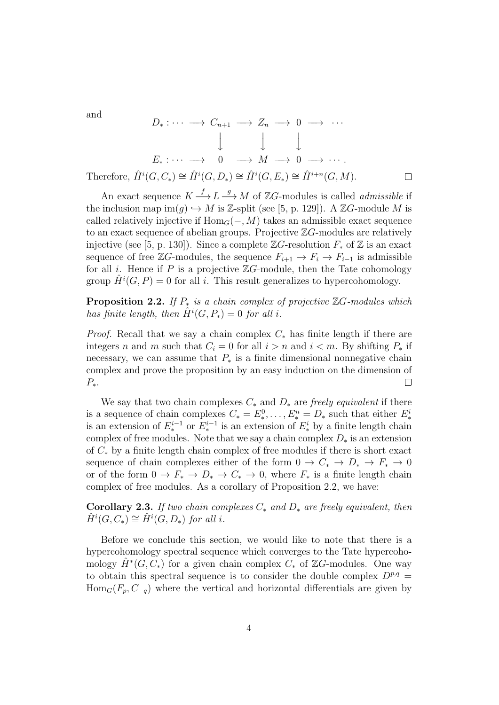and

$$
D_* : \cdots \longrightarrow C_{n+1} \longrightarrow Z_n \longrightarrow 0 \longrightarrow \cdots
$$
  

$$
\downarrow \qquad \qquad \downarrow \qquad \qquad \downarrow
$$
  

$$
E_* : \cdots \longrightarrow 0 \longrightarrow M \longrightarrow 0 \longrightarrow \cdots
$$
  
Therefore,  $\hat{H}^i(G, C_*) \cong \hat{H}^i(G, D_*) \cong \hat{H}^i(G, E_*) \cong \hat{H}^{i+n}(G, M).$ 

 $\Box$ 

An exact sequence  $K \stackrel{f}{\longrightarrow} L \stackrel{g}{\longrightarrow} M$  of  $\mathbb{Z}G$ -modules is called *admissible* if the inclusion map  $\text{im}(q) \hookrightarrow M$  is Z-split (see [5, p. 129]). A ZG-module M is called relatively injective if  $Hom_G(-, M)$  takes an admissible exact sequence to an exact sequence of abelian groups. Projective  $\mathbb{Z}G$ -modules are relatively injective (see [5, p. 130]). Since a complete  $\mathbb{Z}G$ -resolution  $F_*$  of  $\mathbb Z$  is an exact sequence of free  $\mathbb{Z}G$ -modules, the sequence  $F_{i+1} \to F_i \to F_{i-1}$  is admissible for all *i*. Hence if  $P$  is a projective  $\mathbb{Z}G$ -module, then the Tate cohomology group  $\hat{H}^{i}(G, P) = 0$  for all i. This result generalizes to hypercohomology.

**Proposition 2.2.** If  $P_*$  is a chain complex of projective  $\mathbb{Z}G$ -modules which has finite length, then  $\hat{H}^i(G, P_*) = 0$  for all i.

*Proof.* Recall that we say a chain complex  $C_*$  has finite length if there are integers n and m such that  $C_i = 0$  for all  $i > n$  and  $i < m$ . By shifting  $P_*$  if necessary, we can assume that  $P_*$  is a finite dimensional nonnegative chain complex and prove the proposition by an easy induction on the dimension of  $P_{\ast}$ .  $\Box$ 

We say that two chain complexes  $C_*$  and  $D_*$  are freely equivalent if there is a sequence of chain complexes  $C_* = E_*^0, \ldots, E_*^n = D_*$  such that either  $E_*^i$ is an extension of  $E_*^{i-1}$  or  $E_*^{i-1}$  is an extension of  $E_*^i$  by a finite length chain complex of free modules. Note that we say a chain complex  $D_*$  is an extension of C<sup>∗</sup> by a finite length chain complex of free modules if there is short exact sequence of chain complexes either of the form  $0 \to C_* \to D_* \to F_* \to 0$ or of the form  $0 \to F_* \to D_* \to C_* \to 0$ , where  $F_*$  is a finite length chain complex of free modules. As a corollary of Proposition 2.2, we have:

**Corollary 2.3.** If two chain complexes  $C_*$  and  $D_*$  are freely equivalent, then  $\hat{H}^i(G, C_*) \cong \hat{H}^i(G, D_*)$  for all i.

Before we conclude this section, we would like to note that there is a hypercohomology spectral sequence which converges to the Tate hypercohomology  $\hat{H}^*(G, \tilde{C}_*)$  for a given chain complex  $C_*$  of ZG-modules. One way to obtain this spectral sequence is to consider the double complex  $D^{p,q} =$  $\text{Hom}_G(F_p, C_{-q})$  where the vertical and horizontal differentials are given by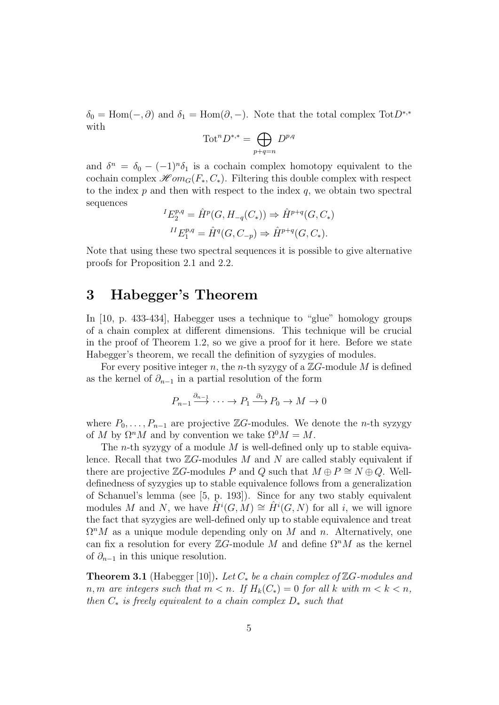$\delta_0 = \text{Hom}(-, \partial)$  and  $\delta_1 = \text{Hom}(\partial, -)$ . Note that the total complex Tot $D^{*,*}$ with

$$
\operatorname{Tot}^n D^{*,*} = \bigoplus_{p+q=n} D^{p,q}
$$

and  $\delta^n = \delta_0 - (-1)^n \delta_1$  is a cochain complex homotopy equivalent to the cochain complex  $\mathscr{H}om_G(F_*, C_*)$ . Filtering this double complex with respect to the index  $p$  and then with respect to the index  $q$ , we obtain two spectral sequences

$$
{}^{I}E_{2}^{p,q} = \hat{H}^{p}(G, H_{-q}(C_{*})) \Rightarrow \hat{H}^{p+q}(G, C_{*})
$$
  

$$
{}^{II}E_{1}^{p,q} = \hat{H}^{q}(G, C_{-p}) \Rightarrow \hat{H}^{p+q}(G, C_{*}).
$$

Note that using these two spectral sequences it is possible to give alternative proofs for Proposition 2.1 and 2.2.

### 3 Habegger's Theorem

In [10, p. 433-434], Habegger uses a technique to "glue" homology groups of a chain complex at different dimensions. This technique will be crucial in the proof of Theorem 1.2, so we give a proof for it here. Before we state Habegger's theorem, we recall the definition of syzygies of modules.

For every positive integer n, the n-th syzygy of a  $\mathbb{Z}G$ -module M is defined as the kernel of  $\partial_{n-1}$  in a partial resolution of the form

$$
P_{n-1} \xrightarrow{\partial_{n-1}} \cdots \xrightarrow{} P_1 \xrightarrow{\partial_1} P_0 \xrightarrow{} M \xrightarrow{} 0
$$

where  $P_0, \ldots, P_{n-1}$  are projective ZG-modules. We denote the n-th syzygy of M by  $\Omega^n M$  and by convention we take  $\Omega^0 M = M$ .

The *n*-th syzygy of a module  $M$  is well-defined only up to stable equivalence. Recall that two  $\mathbb{Z}G$ -modules M and N are called stably equivalent if there are projective ZG-modules P and Q such that  $M \oplus P \cong N \oplus Q$ . Welldefinedness of syzygies up to stable equivalence follows from a generalization of Schanuel's lemma (see [5, p. 193]). Since for any two stably equivalent modules M and N, we have  $\hat{H}^i(G, M) \cong \hat{H}^i(G, N)$  for all i, we will ignore the fact that syzygies are well-defined only up to stable equivalence and treat  $\Omega^n M$  as a unique module depending only on M and n. Alternatively, one can fix a resolution for every  $\mathbb{Z}G$ -module M and define  $\Omega^n M$  as the kernel of  $\partial_{n-1}$  in this unique resolution.

**Theorem 3.1** (Habegger [10]). Let  $C_*$  be a chain complex of  $\mathbb{Z}G$ -modules and n, m are integers such that  $m < n$ . If  $H_k(C_*) = 0$  for all k with  $m < k < n$ , then  $C_*$  is freely equivalent to a chain complex  $D_*$  such that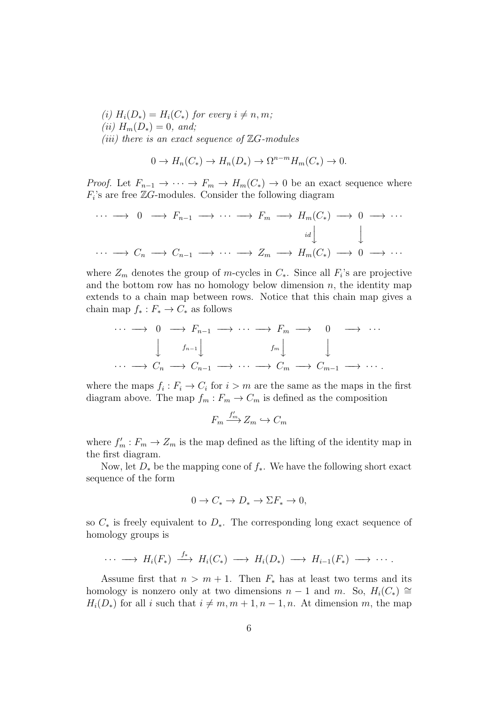(i)  $H_i(D_*) = H_i(C_*)$  for every  $i \neq n, m;$ (*ii*)  $H_m(D_*) = 0$ , and; (iii) there is an exact sequence of  $\mathbb{Z}G$ -modules

$$
0 \to H_n(C_*) \to H_n(D_*) \to \Omega^{n-m} H_m(C_*) \to 0.
$$

*Proof.* Let  $F_{n-1} \to \cdots \to F_m \to H_m(C_*) \to 0$  be an exact sequence where  $F_i$ 's are free  $\mathbb{Z}G$ -modules. Consider the following diagram

$$
\cdots \longrightarrow 0 \longrightarrow F_{n-1} \longrightarrow \cdots \longrightarrow F_m \longrightarrow H_m(C_*) \longrightarrow 0 \longrightarrow \cdots
$$
  

$$
\cdots \longrightarrow C_n \longrightarrow C_{n-1} \longrightarrow \cdots \longrightarrow Z_m \longrightarrow H_m(C_*) \longrightarrow 0 \longrightarrow \cdots
$$

where  $Z_m$  denotes the group of m-cycles in  $C_*$ . Since all  $F_i$ 's are projective and the bottom row has no homology below dimension  $n$ , the identity map extends to a chain map between rows. Notice that this chain map gives a chain map  $f_* : F_* \to C_*$  as follows

$$
\cdots \longrightarrow 0 \longrightarrow F_{n-1} \longrightarrow \cdots \longrightarrow F_m \longrightarrow 0 \longrightarrow \cdots
$$
  

$$
\downarrow f_{n-1} \downarrow f_m \downarrow \qquad \qquad f_m \downarrow \qquad \qquad \downarrow
$$
  

$$
\cdots \longrightarrow C_n \longrightarrow C_{n-1} \longrightarrow \cdots \longrightarrow C_m \longrightarrow C_{m-1} \longrightarrow \cdots.
$$

where the maps  $f_i: F_i \to C_i$  for  $i > m$  are the same as the maps in the first diagram above. The map  $f_m : F_m \to C_m$  is defined as the composition

$$
F_m \xrightarrow{f'_m} Z_m \hookrightarrow C_m
$$

where  $f'_m : F_m \to Z_m$  is the map defined as the lifting of the identity map in the first diagram.

Now, let  $D_*$  be the mapping cone of  $f_*$ . We have the following short exact sequence of the form

$$
0 \to C_* \to D_* \to \Sigma F_* \to 0,
$$

so  $C_*$  is freely equivalent to  $D_*$ . The corresponding long exact sequence of homology groups is

$$
\cdots \longrightarrow H_i(F_*) \stackrel{f_*}{\longrightarrow} H_i(C_*) \longrightarrow H_i(D_*) \longrightarrow H_{i-1}(F_*) \longrightarrow \cdots
$$

Assume first that  $n > m + 1$ . Then  $F_*$  has at least two terms and its homology is nonzero only at two dimensions  $n-1$  and m. So,  $H_i(C_*) \cong$  $H_i(D_*)$  for all i such that  $i \neq m, m + 1, n - 1, n$ . At dimension m, the map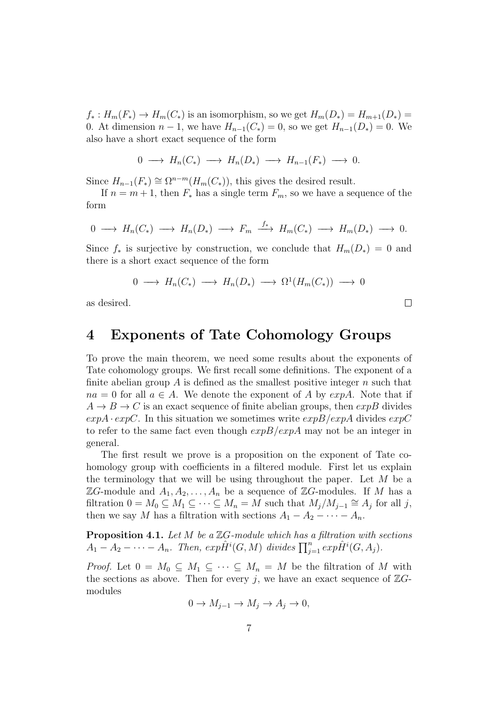$f_*: H_m(F_*) \to H_m(C_*)$  is an isomorphism, so we get  $H_m(D_*) = H_{m+1}(D_*) =$ 0. At dimension  $n - 1$ , we have  $H_{n-1}(C_*) = 0$ , so we get  $H_{n-1}(D_*) = 0$ . We also have a short exact sequence of the form

$$
0 \longrightarrow H_n(C_*) \longrightarrow H_n(D_*) \longrightarrow H_{n-1}(F_*) \longrightarrow 0.
$$

Since  $H_{n-1}(F_*) \cong \Omega^{n-m}(H_m(C_*))$ , this gives the desired result.

If  $n = m + 1$ , then  $F_*$  has a single term  $F_m$ , so we have a sequence of the form

$$
0 \longrightarrow H_n(C_*) \longrightarrow H_n(D_*) \longrightarrow F_m \stackrel{f_*}{\longrightarrow} H_m(C_*) \longrightarrow H_m(D_*) \longrightarrow 0.
$$

Since  $f_*$  is surjective by construction, we conclude that  $H_m(D_*) = 0$  and there is a short exact sequence of the form

$$
0 \longrightarrow H_n(C_*) \longrightarrow H_n(D_*) \longrightarrow \Omega^1(H_m(C_*)) \longrightarrow 0
$$

as desired.

## 4 Exponents of Tate Cohomology Groups

To prove the main theorem, we need some results about the exponents of Tate cohomology groups. We first recall some definitions. The exponent of a finite abelian group A is defined as the smallest positive integer  $n$  such that  $na = 0$  for all  $a \in A$ . We denote the exponent of A by  $expA$ . Note that if  $A \rightarrow B \rightarrow C$  is an exact sequence of finite abelian groups, then  $expB$  divides  $expA \cdot expC$ . In this situation we sometimes write  $expB/expA$  divides  $expC$ to refer to the same fact even though  $expB/expA$  may not be an integer in general.

The first result we prove is a proposition on the exponent of Tate cohomology group with coefficients in a filtered module. First let us explain the terminology that we will be using throughout the paper. Let  $M$  be a  $\mathbb{Z}G$ -module and  $A_1, A_2, \ldots, A_n$  be a sequence of  $\mathbb{Z}G$ -modules. If M has a filtration  $0 = M_0 \subseteq M_1 \subseteq \cdots \subseteq M_n = M$  such that  $M_j/M_{j-1} \cong A_j$  for all j, then we say M has a filtration with sections  $A_1 - A_2 - \cdots - A_n$ .

**Proposition 4.1.** Let  $M$  be a  $\mathbb{Z}G$ -module which has a filtration with sections  $A_1 - A_2 - \cdots - A_n$ . Then,  $exp \hat{H}^i(G, M)$  divides  $\prod_{j=1}^n exp \hat{H}^i(G, A_j)$ .

*Proof.* Let  $0 = M_0 \subseteq M_1 \subseteq \cdots \subseteq M_n = M$  be the filtration of M with the sections as above. Then for every j, we have an exact sequence of  $\mathbb{Z}G$ modules

$$
0 \to M_{j-1} \to M_j \to A_j \to 0,
$$

 $\Box$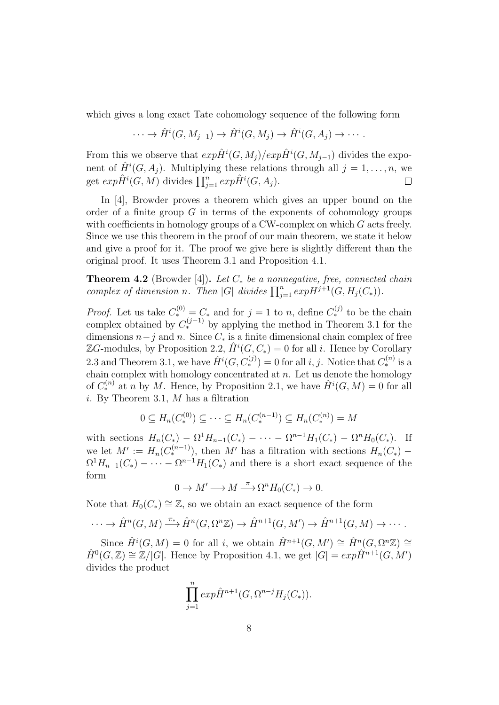which gives a long exact Tate cohomology sequence of the following form

$$
\cdots \to \hat{H}^i(G, M_{j-1}) \to \hat{H}^i(G, M_j) \to \hat{H}^i(G, A_j) \to \cdots.
$$

From this we observe that  $exp \hat{H}^i(G, M_j)/exp \hat{H}^i(G, M_{j-1})$  divides the exponent of  $\hat{H}^i(G, A_j)$ . Multiplying these relations through all  $j = 1, \ldots, n$ , we get  $exp \hat{H}^i(G, M)$  divides  $\prod_{j=1}^n exp \hat{H}^i(G, A_j)$ .  $\Box$ 

In [4], Browder proves a theorem which gives an upper bound on the order of a finite group  $G$  in terms of the exponents of cohomology groups with coefficients in homology groups of a CW-complex on which  $G$  acts freely. Since we use this theorem in the proof of our main theorem, we state it below and give a proof for it. The proof we give here is slightly different than the original proof. It uses Theorem 3.1 and Proposition 4.1.

**Theorem 4.2** (Browder [4]). Let  $C_*$  be a nonnegative, free, connected chain complex of dimension n. Then |G| divides  $\prod_{j=1}^n exp H^{j+1}(G, H_j(C_*)).$ 

*Proof.* Let us take  $C_*^{(0)} = C_*$  and for  $j = 1$  to n, define  $C_*^{(j)}$  to be the chain complex obtained by  $C_*^{(j-1)}$  by applying the method in Theorem 3.1 for the dimensions  $n-j$  and n. Since  $C_*$  is a finite dimensional chain complex of free  $\mathbb{Z}G$ -modules, by Proposition 2.2,  $\hat{H}^i(G, C_*) = 0$  for all *i*. Hence by Corollary 2.3 and Theorem 3.1, we have  $\hat{H}^{i}(G, C_{*}^{(j)}) = 0$  for all i, j. Notice that  $C_{*}^{(n)}$  is a chain complex with homology concentrated at  $n$ . Let us denote the homology of  $C_*^{(n)}$  at n by M. Hence, by Proposition 2.1, we have  $\hat{H}^i(G,M) = 0$  for all i. By Theorem 3.1,  $M$  has a filtration

$$
0 \subseteq H_n(C_*^{(0)}) \subseteq \cdots \subseteq H_n(C_*^{(n-1)}) \subseteq H_n(C_*^{(n)}) = M
$$

with sections  $H_n(C_*) - \Omega^1 H_{n-1}(C_*) - \cdots - \Omega^{n-1} H_1(C_*) - \Omega^n H_0(C_*)$ . If we let  $M' := H_n(C_*^{(n-1)})$ , then M' has a filtration with sections  $H_n(C_*)$  –  $\Omega^1 H_{n-1}(C_*) - \cdots - \Omega^{n-1} H_1(C_*)$  and there is a short exact sequence of the form

$$
0 \to M' \longrightarrow M \stackrel{\pi}{\longrightarrow} \Omega^n H_0(C_*) \to 0.
$$

Note that  $H_0(C_*) \cong \mathbb{Z}$ , so we obtain an exact sequence of the form

$$
\cdots \to \hat{H}^n(G,M) \xrightarrow{\pi_*} \hat{H}^n(G,\Omega^n \mathbb{Z}) \to \hat{H}^{n+1}(G,M') \to \hat{H}^{n+1}(G,M) \to \cdots.
$$

Since  $\hat{H}^i(G,M) = 0$  for all i, we obtain  $\hat{H}^{n+1}(G,M') \cong \hat{H}^n(G,\Omega^n \mathbb{Z}) \cong$  $\hat{H}^0(G,\mathbb{Z}) \cong \mathbb{Z}/|G|$ . Hence by Proposition 4.1, we get  $|G| = exp\hat{H}^{n+1}(G,M')$ divides the product

$$
\prod_{j=1}^{n} \exp \hat{H}^{n+1}(G, \Omega^{n-j}H_j(C_*)).
$$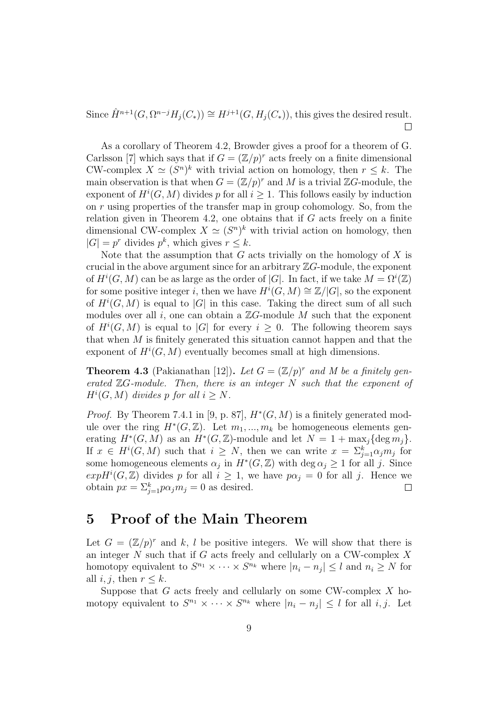Since  $\hat{H}^{n+1}(G, \Omega^{n-j}H_j(C_*)) \cong H^{j+1}(G, H_j(C_*)),$  this gives the desired result.  $\Box$ 

As a corollary of Theorem 4.2, Browder gives a proof for a theorem of G. Carlsson [7] which says that if  $G = (\mathbb{Z}/p)^r$  acts freely on a finite dimensional CW-complex  $X \simeq (S^n)^k$  with trivial action on homology, then  $r \leq k$ . The main observation is that when  $G = (\mathbb{Z}/p)^r$  and M is a trivial  $\mathbb{Z}G$ -module, the exponent of  $H^i(G, M)$  divides p for all  $i \geq 1$ . This follows easily by induction on r using properties of the transfer map in group cohomology. So, from the relation given in Theorem 4.2, one obtains that if  $G$  acts freely on a finite dimensional CW-complex  $X \simeq (S^n)^k$  with trivial action on homology, then  $|G| = p^r$  divides  $p^k$ , which gives  $r \leq k$ .

Note that the assumption that  $G$  acts trivially on the homology of  $X$  is crucial in the above argument since for an arbitrary  $\mathbb{Z}G$ -module, the exponent of  $H^i(G, M)$  can be as large as the order of |G|. In fact, if we take  $M = \Omega^i(\mathbb{Z})$ for some positive integer i, then we have  $H^i(G,M) \cong \mathbb{Z}/|G|$ , so the exponent of  $H^i(G, M)$  is equal to |G| in this case. Taking the direct sum of all such modules over all i, one can obtain a  $\mathbb{Z}G$ -module M such that the exponent of  $H^i(G,M)$  is equal to |G| for every  $i \geq 0$ . The following theorem says that when M is finitely generated this situation cannot happen and that the exponent of  $H^i(G, M)$  eventually becomes small at high dimensions.

**Theorem 4.3** (Pakianathan [12]). Let  $G = (\mathbb{Z}/p)^r$  and M be a finitely generated  $\mathbb{Z}G$ -module. Then, there is an integer N such that the exponent of  $H^i(G, M)$  divides p for all  $i \geq N$ .

*Proof.* By Theorem 7.4.1 in [9, p. 87],  $H^*(G, M)$  is a finitely generated module over the ring  $H^*(G, \mathbb{Z})$ . Let  $m_1, ..., m_k$  be homogeneous elements generating  $H^*(G, M)$  as an  $H^*(G, \mathbb{Z})$ -module and let  $N = 1 + \max_j {\text{deg } m_j}$ . If  $x \in H^i(G, M)$  such that  $i \geq N$ , then we can write  $x = \sum_{j=1}^k \alpha_j m_j$  for some homogeneous elements  $\alpha_j$  in  $H^*(G,\mathbb{Z})$  with  $\deg \alpha_j \geq 1$  for all j. Since  $exp H^{i}(G, \mathbb{Z})$  divides p for all  $i \geq 1$ , we have  $p\alpha_j = 0$  for all j. Hence we obtain  $px = \sum_{j=1}^{k} p\alpha_j m_j = 0$  as desired.  $\Box$ 

# 5 Proof of the Main Theorem

Let  $G = (\mathbb{Z}/p)^r$  and k, l be positive integers. We will show that there is an integer  $N$  such that if  $G$  acts freely and cellularly on a CW-complex  $X$ homotopy equivalent to  $S^{n_1} \times \cdots \times S^{n_k}$  where  $|n_i - n_j| \leq l$  and  $n_i \geq N$  for all  $i, j$ , then  $r \leq k$ .

Suppose that  $G$  acts freely and cellularly on some CW-complex  $X$  homotopy equivalent to  $S^{n_1} \times \cdots \times S^{n_k}$  where  $|n_i - n_j| \leq l$  for all  $i, j$ . Let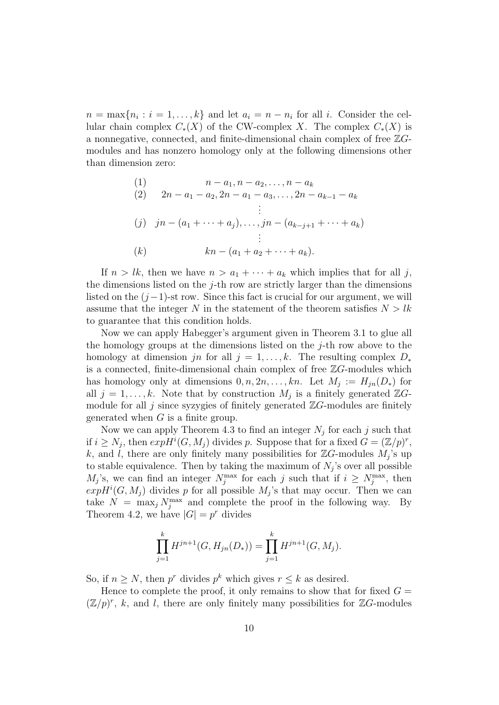$n = \max\{n_i : i = 1, \ldots, k\}$  and let  $a_i = n - n_i$  for all i. Consider the cellular chain complex  $C_*(X)$  of the CW-complex X. The complex  $C_*(X)$  is a nonnegative, connected, and finite-dimensional chain complex of free  $\mathbb{Z}G$ modules and has nonzero homology only at the following dimensions other than dimension zero:

(1)  
\n
$$
n - a_1, n - a_2, \dots, n - a_k
$$
\n(2)  
\n
$$
2n - a_1 - a_2, 2n - a_1 - a_3, \dots, 2n - a_{k-1} - a_k
$$
\n
$$
\vdots
$$
\n(3)  
\n
$$
jn - (a_1 + \dots + a_j), \dots, jn - (a_{k-j+1} + \dots + a_k)
$$
\n
$$
\vdots
$$
\n(k)  
\n
$$
kn - (a_1 + a_2 + \dots + a_k).
$$

If  $n > lk$ , then we have  $n > a_1 + \cdots + a_k$  which implies that for all j, the dimensions listed on the  $j$ -th row are strictly larger than the dimensions listed on the  $(j-1)$ -st row. Since this fact is crucial for our argument, we will assume that the integer N in the statement of the theorem satisfies  $N > lk$ to guarantee that this condition holds.

Now we can apply Habegger's argument given in Theorem 3.1 to glue all the homology groups at the dimensions listed on the  $j$ -th row above to the homology at dimension jn for all  $j = 1, \ldots, k$ . The resulting complex  $D_*$ is a connected, finite-dimensional chain complex of free  $\mathbb{Z}G$ -modules which has homology only at dimensions  $0, n, 2n, \ldots, kn$ . Let  $M_j := H_{jn}(D_*)$  for all  $j = 1, \ldots, k$ . Note that by construction  $M_j$  is a finitely generated  $\mathbb{Z}G$ module for all j since syzygies of finitely generated  $\mathbb{Z}G$ -modules are finitely generated when  $G$  is a finite group.

Now we can apply Theorem 4.3 to find an integer  $N_j$  for each j such that if  $i \geq N_j$ , then  $exp H^i(G, M_j)$  divides p. Suppose that for a fixed  $G = (\mathbb{Z}/p)^r$ , k, and l, there are only finitely many possibilities for  $\mathbb{Z}G$ -modules  $M_j$ 's up to stable equivalence. Then by taking the maximum of  $N_j$ 's over all possible  $M_j$ 's, we can find an integer  $N_j^{\max}$  for each j such that if  $i \ge N_j^{\max}$ , then  $expH<sup>i</sup>(G, M<sub>j</sub>)$  divides p for all possible  $M<sub>j</sub>$ 's that may occur. Then we can take  $N = \max_j N_j^{\max}$  and complete the proof in the following way. By Theorem 4.2, we have  $|G| = p^r$  divides

$$
\prod_{j=1}^{k} H^{jn+1}(G, H_{jn}(D_*)) = \prod_{j=1}^{k} H^{jn+1}(G, M_j).
$$

So, if  $n \geq N$ , then  $p^r$  divides  $p^k$  which gives  $r \leq k$  as desired.

Hence to complete the proof, it only remains to show that for fixed  $G =$  $(\mathbb{Z}/p)^r$ , k, and l, there are only finitely many possibilities for  $\mathbb{Z}G$ -modules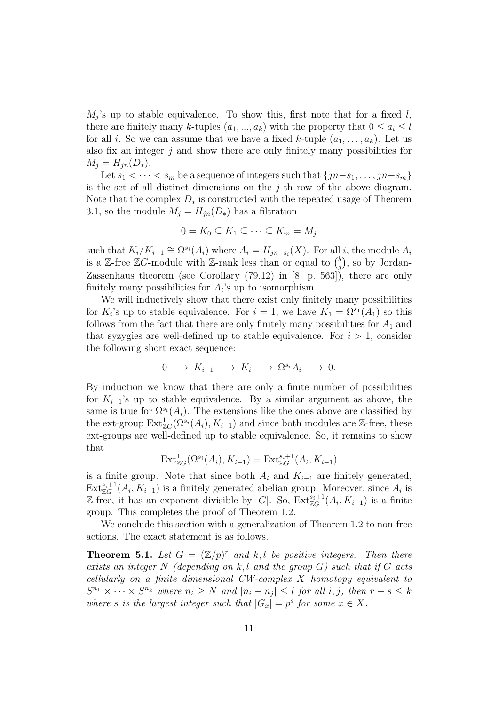$M_j$ 's up to stable equivalence. To show this, first note that for a fixed l, there are finitely many k-tuples  $(a_1, ..., a_k)$  with the property that  $0 \le a_i \le l$ for all i. So we can assume that we have a fixed k-tuple  $(a_1, \ldots, a_k)$ . Let us also fix an integer  $j$  and show there are only finitely many possibilities for  $M_i = H_{in}(D_*)$ .

Let  $s_1 < \cdots < s_m$  be a sequence of integers such that  $\{jn-s_1, \ldots, jn-s_m\}$ is the set of all distinct dimensions on the  $j$ -th row of the above diagram. Note that the complex  $D_*$  is constructed with the repeated usage of Theorem 3.1, so the module  $M_j = H_{jn}(D_*)$  has a filtration

$$
0 = K_0 \subseteq K_1 \subseteq \cdots \subseteq K_m = M_j
$$

such that  $K_i/K_{i-1} \cong \Omega^{s_i}(A_i)$  where  $A_i = H_{jn-s_i}(X)$ . For all i, the module  $A_i$ is a Z-free ZG-module with Z-rank less than or equal to  $\binom{k}{i}$  $_j^k$ ), so by Jordan-Zassenhaus theorem (see Corollary (79.12) in [8, p. 563]), there are only finitely many possibilities for  $A_i$ 's up to isomorphism.

We will inductively show that there exist only finitely many possibilities for  $K_i$ 's up to stable equivalence. For  $i = 1$ , we have  $K_1 = \Omega^{s_1}(A_1)$  so this follows from the fact that there are only finitely many possibilities for  $A_1$  and that syzygies are well-defined up to stable equivalence. For  $i > 1$ , consider the following short exact sequence:

$$
0 \longrightarrow K_{i-1} \longrightarrow K_i \longrightarrow \Omega^{s_i} A_i \longrightarrow 0.
$$

By induction we know that there are only a finite number of possibilities for  $K_{i-1}$ 's up to stable equivalence. By a similar argument as above, the same is true for  $\Omega^{s_i}(A_i)$ . The extensions like the ones above are classified by the ext-group  $\text{Ext}^1_{\mathbb{Z}G}(\Omega^{s_i}(A_i), K_{i-1})$  and since both modules are  $\mathbb{Z}$ -free, these ext-groups are well-defined up to stable equivalence. So, it remains to show that

$$
Ext^1_{\mathbb{Z}G}(\Omega^{s_i}(A_i), K_{i-1}) = Ext^{s_i+1}_{\mathbb{Z}G}(A_i, K_{i-1})
$$

is a finite group. Note that since both  $A_i$  and  $K_{i-1}$  are finitely generated,  $\text{Ext}_{\mathbb{Z}G}^{s_i+1}(A_i, K_{i-1})$  is a finitely generated abelian group. Moreover, since  $A_i$  is Z-free, it has an exponent divisible by |G|. So,  $\text{Ext}_{\mathbb{Z}_G}^{s_i+1}(A_i, K_{i-1})$  is a finite group. This completes the proof of Theorem 1.2.

We conclude this section with a generalization of Theorem 1.2 to non-free actions. The exact statement is as follows.

**Theorem 5.1.** Let  $G = (\mathbb{Z}/p)^r$  and k, l be positive integers. Then there exists an integer N (depending on k, l and the group  $G$ ) such that if G acts cellularly on a finite dimensional CW-complex X homotopy equivalent to  $S^{n_1} \times \cdots \times S^{n_k}$  where  $n_i \geq N$  and  $|n_i - n_j| \leq l$  for all i, j, then  $r - s \leq k$ where s is the largest integer such that  $|G_x| = p^s$  for some  $x \in X$ .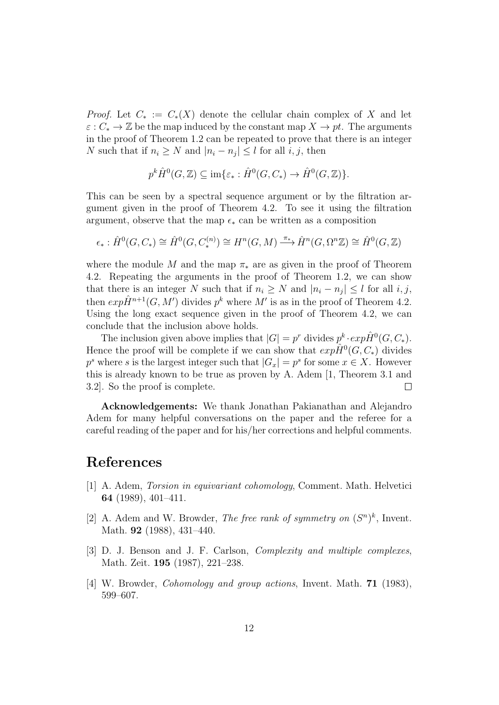*Proof.* Let  $C_* := C_*(X)$  denote the cellular chain complex of X and let  $\varepsilon: C_* \to \mathbb{Z}$  be the map induced by the constant map  $X \to pt$ . The arguments in the proof of Theorem 1.2 can be repeated to prove that there is an integer N such that if  $n_i \geq N$  and  $|n_i - n_j| \leq l$  for all  $i, j$ , then

$$
p^k \hat{H}^0(G, \mathbb{Z}) \subseteq \text{im}\{\varepsilon_* : \hat{H}^0(G, C_*) \to \hat{H}^0(G, \mathbb{Z})\}.
$$

This can be seen by a spectral sequence argument or by the filtration argument given in the proof of Theorem 4.2. To see it using the filtration argument, observe that the map  $\epsilon_*$  can be written as a composition

$$
\epsilon_* : \hat{H}^0(G, C_*) \cong \hat{H}^0(G, C_*^{(n)}) \cong H^n(G, M) \xrightarrow{\pi_*} \hat{H}^n(G, \Omega^n \mathbb{Z}) \cong \hat{H}^0(G, \mathbb{Z})
$$

where the module M and the map  $\pi_*$  are as given in the proof of Theorem 4.2. Repeating the arguments in the proof of Theorem 1.2, we can show that there is an integer N such that if  $n_i \geq N$  and  $|n_i - n_j| \leq l$  for all  $i, j$ , then  $exp \hat{H}^{n+1}(G, M')$  divides  $p^k$  where M' is as in the proof of Theorem 4.2. Using the long exact sequence given in the proof of Theorem 4.2, we can conclude that the inclusion above holds.

The inclusion given above implies that  $|G| = p^r$  divides  $p^k \cdot exp\hat{H}^0(G, C_*)$ . Hence the proof will be complete if we can show that  $exp \hat{H}^0(G, C_*)$  divides  $p<sup>s</sup>$  where s is the largest integer such that  $|G_x| = p<sup>s</sup>$  for some  $x \in X$ . However this is already known to be true as proven by A. Adem [1, Theorem 3.1 and 3.2]. So the proof is complete.  $\Box$ 

Acknowledgements: We thank Jonathan Pakianathan and Alejandro Adem for many helpful conversations on the paper and the referee for a careful reading of the paper and for his/her corrections and helpful comments.

#### References

- [1] A. Adem, Torsion in equivariant cohomology, Comment. Math. Helvetici 64 (1989), 401–411.
- [2] A. Adem and W. Browder, *The free rank of symmetry on*  $(S^n)^k$ , Invent. Math. 92 (1988), 431–440.
- [3] D. J. Benson and J. F. Carlson, Complexity and multiple complexes, Math. Zeit. 195 (1987), 221–238.
- [4] W. Browder, Cohomology and group actions, Invent. Math. 71 (1983), 599–607.